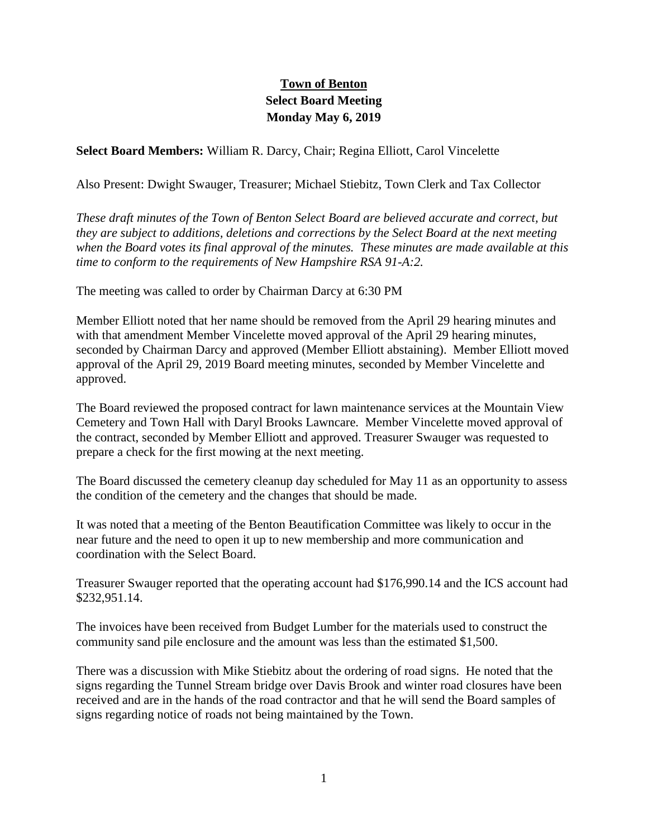## **Town of Benton Select Board Meeting Monday May 6, 2019**

**Select Board Members:** William R. Darcy, Chair; Regina Elliott, Carol Vincelette

Also Present: Dwight Swauger, Treasurer; Michael Stiebitz, Town Clerk and Tax Collector

*These draft minutes of the Town of Benton Select Board are believed accurate and correct, but they are subject to additions, deletions and corrections by the Select Board at the next meeting when the Board votes its final approval of the minutes. These minutes are made available at this time to conform to the requirements of New Hampshire RSA 91-A:2.*

The meeting was called to order by Chairman Darcy at 6:30 PM

Member Elliott noted that her name should be removed from the April 29 hearing minutes and with that amendment Member Vincelette moved approval of the April 29 hearing minutes, seconded by Chairman Darcy and approved (Member Elliott abstaining). Member Elliott moved approval of the April 29, 2019 Board meeting minutes, seconded by Member Vincelette and approved.

The Board reviewed the proposed contract for lawn maintenance services at the Mountain View Cemetery and Town Hall with Daryl Brooks Lawncare. Member Vincelette moved approval of the contract, seconded by Member Elliott and approved. Treasurer Swauger was requested to prepare a check for the first mowing at the next meeting.

The Board discussed the cemetery cleanup day scheduled for May 11 as an opportunity to assess the condition of the cemetery and the changes that should be made.

It was noted that a meeting of the Benton Beautification Committee was likely to occur in the near future and the need to open it up to new membership and more communication and coordination with the Select Board.

Treasurer Swauger reported that the operating account had \$176,990.14 and the ICS account had \$232,951.14.

The invoices have been received from Budget Lumber for the materials used to construct the community sand pile enclosure and the amount was less than the estimated \$1,500.

There was a discussion with Mike Stiebitz about the ordering of road signs. He noted that the signs regarding the Tunnel Stream bridge over Davis Brook and winter road closures have been received and are in the hands of the road contractor and that he will send the Board samples of signs regarding notice of roads not being maintained by the Town.